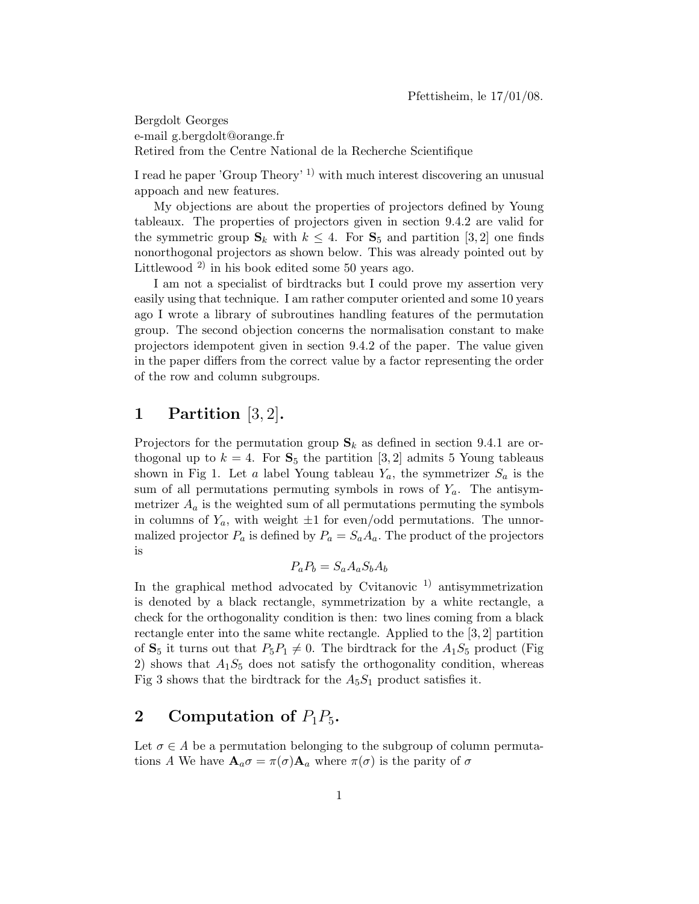Bergdolt Georges e-mail g.bergdolt@orange.fr Retired from the Centre National de la Recherche Scientifique

I read he paper 'Group Theory' 1) with much interest discovering an unusual appoach and new features.

My objections are about the properties of projectors defined by Young tableaux. The properties of projectors given in section 9.4.2 are valid for the symmetric group  $\mathbf{S}_k$  with  $k \leq 4$ . For  $\mathbf{S}_5$  and partition [3, 2] one finds nonorthogonal projectors as shown below. This was already pointed out by Littlewood<sup>2)</sup> in his book edited some 50 years ago.

I am not a specialist of birdtracks but I could prove my assertion very easily using that technique. I am rather computer oriented and some 10 years ago I wrote a library of subroutines handling features of the permutation group. The second objection concerns the normalisation constant to make projectors idempotent given in section 9.4.2 of the paper. The value given in the paper differs from the correct value by a factor representing the order of the row and column subgroups.

### 1 Partition [3, 2].

Projectors for the permutation group  $S_k$  as defined in section 9.4.1 are orthogonal up to  $k = 4$ . For  $S_5$  the partition [3, 2] admits 5 Young tableaus shown in Fig 1. Let a label Young tableau  $Y_a$ , the symmetrizer  $S_a$  is the sum of all permutations permuting symbols in rows of  $Y_a$ . The antisymmetrizer  $A_a$  is the weighted sum of all permutations permuting the symbols in columns of  $Y_a$ , with weight  $\pm 1$  for even/odd permutations. The unnormalized projector  $P_a$  is defined by  $P_a = S_a A_a$ . The product of the projectors is

$$
P_a P_b = S_a A_a S_b A_b
$$

In the graphical method advocated by Cvitanovic  $\frac{1}{1}$  antisymmetrization is denoted by a black rectangle, symmetrization by a white rectangle, a check for the orthogonality condition is then: two lines coming from a black rectangle enter into the same white rectangle. Applied to the [3, 2] partition of  $S_5$  it turns out that  $P_5P_1 \neq 0$ . The birdtrack for the  $A_1S_5$  product (Fig. 2) shows that  $A_1S_5$  does not satisfy the orthogonality condition, whereas Fig 3 shows that the birdtrack for the  $A_5S_1$  product satisfies it.

# 2 Computation of  $P_1P_5$ .

Let  $\sigma \in A$  be a permutation belonging to the subgroup of column permutations A We have  $\mathbf{A}_a \sigma = \pi(\sigma) \mathbf{A}_a$  where  $\pi(\sigma)$  is the parity of  $\sigma$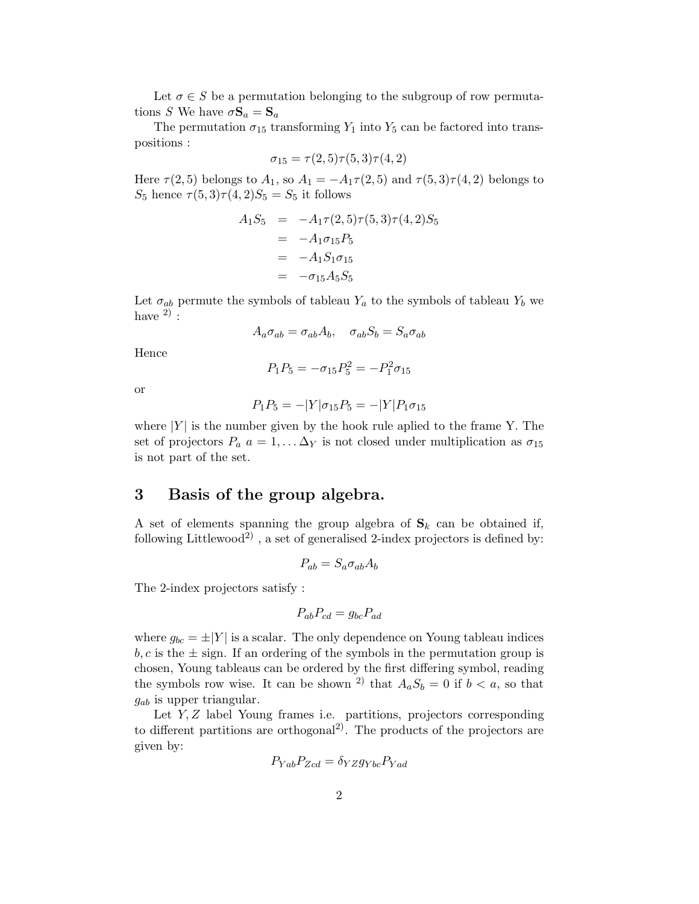Let  $\sigma \in S$  be a permutation belonging to the subgroup of row permutations S We have  $\sigma \mathbf{S}_a = \mathbf{S}_a$ 

The permutation  $\sigma_{15}$  transforming  $Y_1$  into  $Y_5$  can be factored into transpositions :

$$
\sigma_{15} = \tau(2,5)\tau(5,3)\tau(4,2)
$$

Here  $\tau(2,5)$  belongs to  $A_1$ , so  $A_1 = -A_1\tau(2,5)$  and  $\tau(5,3)\tau(4,2)$  belongs to  $S_5$  hence  $\tau(5,3)\tau(4,2)S_5 = S_5$  it follows

$$
A_1 S_5 = -A_1 \tau (2, 5) \tau (5, 3) \tau (4, 2) S_5
$$
  
=  $-A_1 \sigma_{15} P_5$   
=  $-A_1 S_1 \sigma_{15}$   
=  $-\sigma_{15} A_5 S_5$ 

Let  $\sigma_{ab}$  permute the symbols of tableau  $Y_a$  to the symbols of tableau  $Y_b$  we have  $^{2)}$  :

$$
A_a \sigma_{ab} = \sigma_{ab} A_b, \quad \sigma_{ab} S_b = S_a \sigma_{ab}
$$

Hence

$$
P_1 P_5 = -\sigma_{15} P_5^2 = -P_1^2 \sigma_{15}
$$

or

$$
P_1 P_5 = -|Y|\sigma_{15} P_5 = -|Y|P_1 \sigma_{15}
$$

where  $|Y|$  is the number given by the hook rule aplied to the frame Y. The set of projectors  $P_a$   $a = 1, \ldots \Delta_Y$  is not closed under multiplication as  $\sigma_{15}$ is not part of the set.

## 3 Basis of the group algebra.

A set of elements spanning the group algebra of  $S_k$  can be obtained if, following Littlewood<sup>2)</sup>, a set of generalised 2-index projectors is defined by:

$$
P_{ab} = S_a \sigma_{ab} A_b
$$

The 2-index projectors satisfy :

$$
P_{ab}P_{cd} = g_{bc}P_{ad}
$$

where  $g_{bc} = \pm |Y|$  is a scalar. The only dependence on Young tableau indices  $b, c$  is the  $\pm$  sign. If an ordering of the symbols in the permutation group is chosen, Young tableaus can be ordered by the first differing symbol, reading the symbols row wise. It can be shown <sup>2)</sup> that  $A_aS_b = 0$  if  $b < a$ , so that  $g_{ab}$  is upper triangular.

Let Y, Z label Young frames i.e. partitions, projectors corresponding to different partitions are orthogonal<sup>2)</sup>. The products of the projectors are given by:

$$
P_{Yab}P_{Zcd} = \delta_{YZ}g_{Ybc}P_{Yad}
$$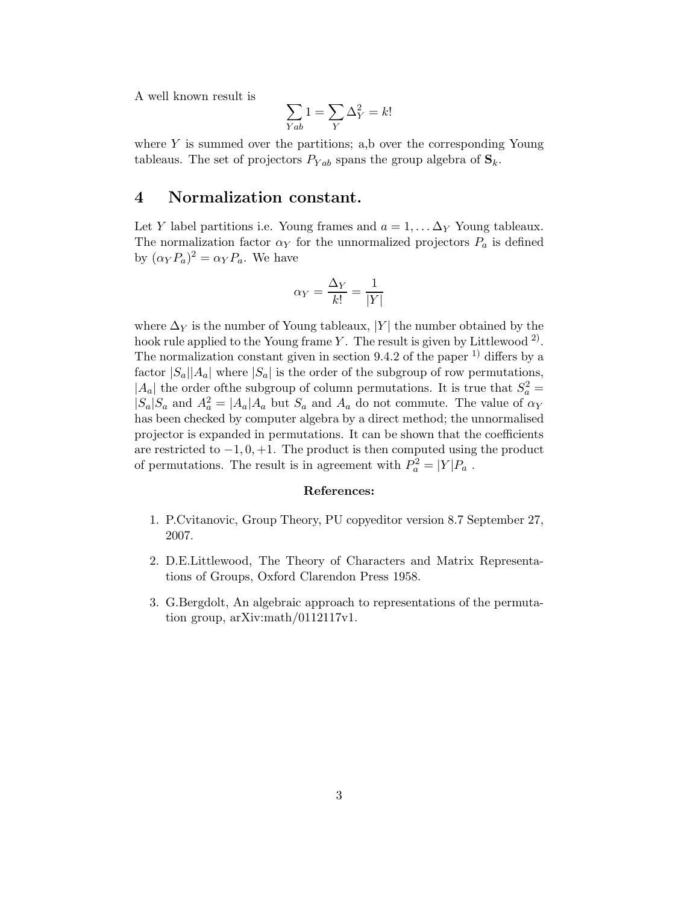A well known result is

$$
\sum_{Yab} 1 = \sum_{Y} \Delta_Y^2 = k!
$$

where  $Y$  is summed over the partitions; a,b over the corresponding Young tableaus. The set of projectors  $P_{Yab}$  spans the group algebra of  $S_k$ .

#### 4 Normalization constant.

Let Y label partitions i.e. Young frames and  $a = 1, \ldots \Delta_Y$  Young tableaux. The normalization factor  $\alpha_Y$  for the unnormalized projectors  $P_a$  is defined by  $(\alpha_Y P_a)^2 = \alpha_Y P_a$ . We have

$$
\alpha_Y = \frac{\Delta_Y}{k!} = \frac{1}{|Y|}
$$

where  $\Delta_Y$  is the number of Young tableaux, |Y| the number obtained by the hook rule applied to the Young frame Y. The result is given by Littlewood<sup>2</sup>. The normalization constant given in section  $9.4.2$  of the paper <sup>1)</sup> differs by a factor  $|S_a||A_a|$  where  $|S_a|$  is the order of the subgroup of row permutations,  $|A_a|$  the order of the subgroup of column permutations. It is true that  $S_a^2 =$  $|S_a|S_a$  and  $A_a^2 = |A_a|A_a$  but  $S_a$  and  $A_a$  do not commute. The value of  $\alpha_Y$ has been checked by computer algebra by a direct method; the unnormalised projector is expanded in permutations. It can be shown that the coefficients are restricted to  $-1, 0, +1$ . The product is then computed using the product of permutations. The result is in agreement with  $P_a^2 = |Y|P_a$ .

#### References:

- 1. P.Cvitanovic, Group Theory, PU copyeditor version 8.7 September 27, 2007.
- 2. D.E.Littlewood, The Theory of Characters and Matrix Representations of Groups, Oxford Clarendon Press 1958.
- 3. G.Bergdolt, An algebraic approach to representations of the permutation group, arXiv:math/0112117v1.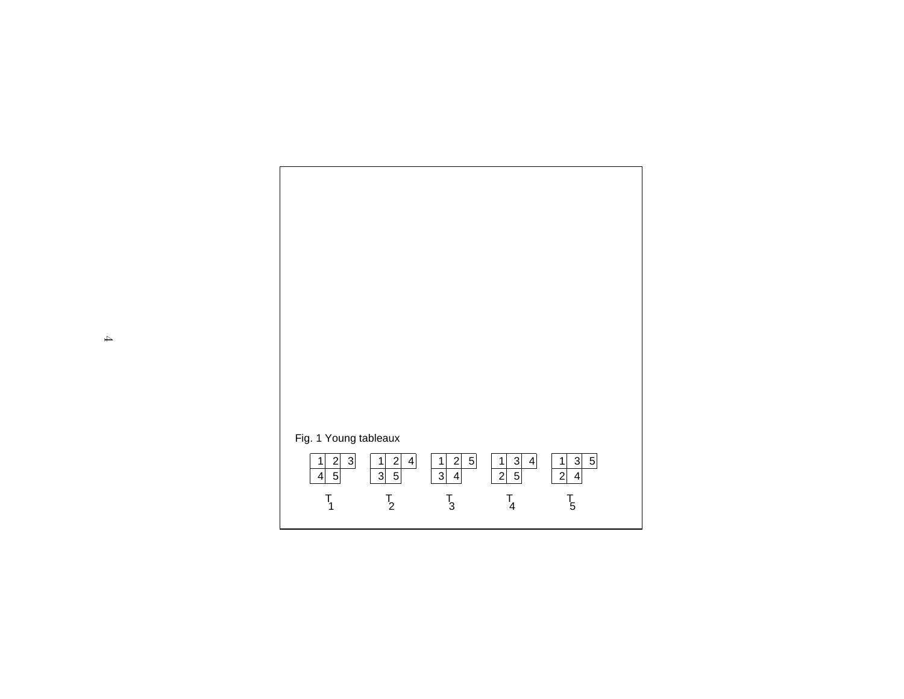

 $\rightarrow$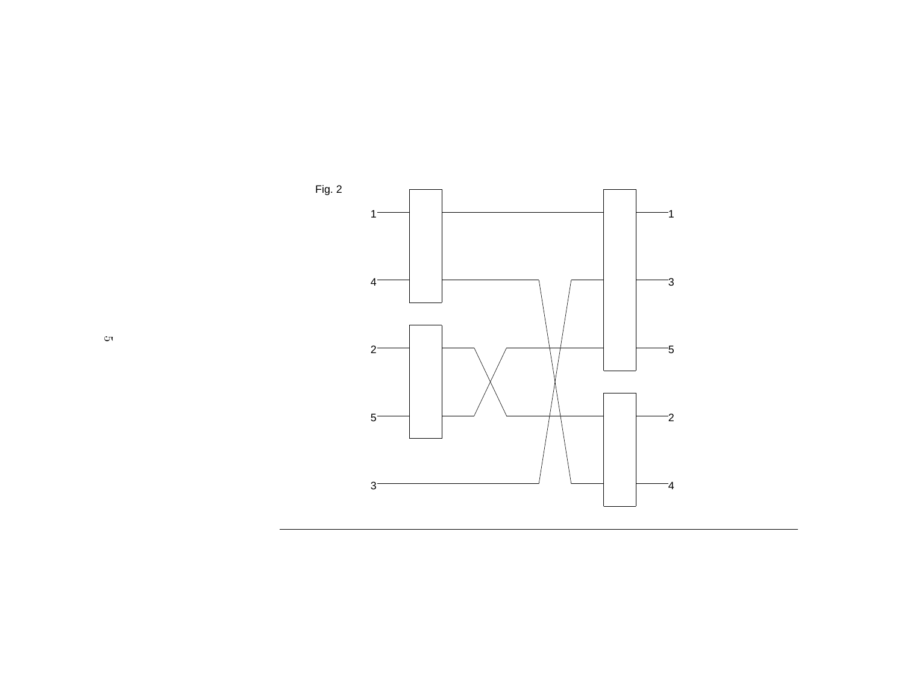

 $\circ$